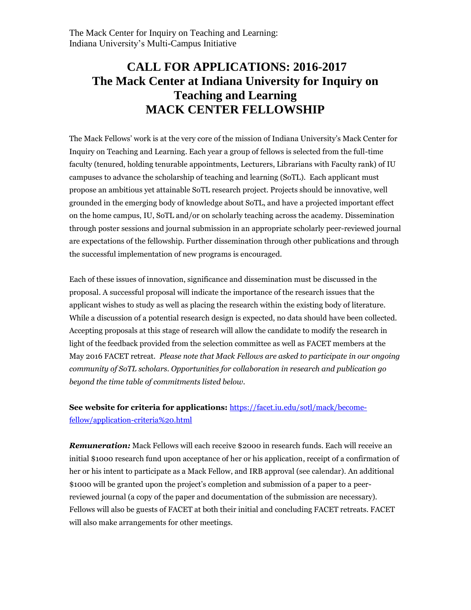## **CALL FOR APPLICATIONS: 2016-2017 The Mack Center at Indiana University for Inquiry on Teaching and Learning MACK CENTER FELLOWSHIP**

The Mack Fellows' work is at the very core of the mission of Indiana University's Mack Center for Inquiry on Teaching and Learning. Each year a group of fellows is selected from the full-time faculty (tenured, holding tenurable appointments, Lecturers, Librarians with Faculty rank) of IU campuses to advance the scholarship of teaching and learning (SoTL). Each applicant must propose an ambitious yet attainable SoTL research project. Projects should be innovative, well grounded in the emerging body of knowledge about SoTL, and have a projected important effect on the home campus, IU, SoTL and/or on scholarly teaching across the academy. Dissemination through poster sessions and journal submission in an appropriate scholarly peer-reviewed journal are expectations of the fellowship. Further dissemination through other publications and through the successful implementation of new programs is encouraged.

Each of these issues of innovation, significance and dissemination must be discussed in the proposal. A successful proposal will indicate the importance of the research issues that the applicant wishes to study as well as placing the research within the existing body of literature. While a discussion of a potential research design is expected, no data should have been collected. Accepting proposals at this stage of research will allow the candidate to modify the research in light of the feedback provided from the selection committee as well as FACET members at the May 2016 FACET retreat. *Please note that Mack Fellows are asked to participate in our ongoing community of SoTL scholars. Opportunities for collaboration in research and publication go beyond the time table of commitments listed below.*

## **See website for criteria for applications:** https://facet.iu.edu/sotl/mack/becomefellow/application-criteria%20.html

*Remuneration:* Mack Fellows will each receive \$2000 in research funds. Each will receive an initial \$1000 research fund upon acceptance of her or his application, receipt of a confirmation of her or his intent to participate as a Mack Fellow, and IRB approval (see calendar). An additional \$1000 will be granted upon the project's completion and submission of a paper to a peerreviewed journal (a copy of the paper and documentation of the submission are necessary). Fellows will also be guests of FACET at both their initial and concluding FACET retreats. FACET will also make arrangements for other meetings.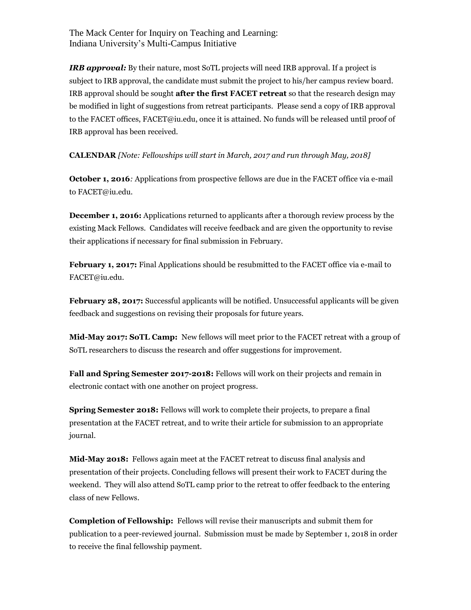The Mack Center for Inquiry on Teaching and Learning: Indiana University's Multi-Campus Initiative

*IRB approval:* By their nature, most SoTL projects will need IRB approval. If a project is subject to IRB approval, the candidate must submit the project to his/her campus review board. IRB approval should be sought **after the first FACET retreat** so that the research design may be modified in light of suggestions from retreat participants. Please send a copy of IRB approval to the FACET offices, FACET@iu.edu, once it is attained. No funds will be released until proof of IRB approval has been received.

**CALENDAR** *[Note: Fellowships will start in March, 2017 and run through May, 2018]*

**October 1, 2016***:* Applications from prospective fellows are due in the FACET office via e-mail to FACET@iu.edu.

**December 1, 2016:** Applications returned to applicants after a thorough review process by the existing Mack Fellows. Candidates will receive feedback and are given the opportunity to revise their applications if necessary for final submission in February.

**February 1, 2017:** Final Applications should be resubmitted to the FACET office via e-mail to FACET@iu.edu.

**February 28, 2017:** Successful applicants will be notified. Unsuccessful applicants will be given feedback and suggestions on revising their proposals for future years.

**Mid-May 2017: SoTL Camp:** New fellows will meet prior to the FACET retreat with a group of SoTL researchers to discuss the research and offer suggestions for improvement.

**Fall and Spring Semester 2017-2018:** Fellows will work on their projects and remain in electronic contact with one another on project progress.

**Spring Semester 2018:** Fellows will work to complete their projects, to prepare a final presentation at the FACET retreat, and to write their article for submission to an appropriate journal.

**Mid-May 2018:** Fellows again meet at the FACET retreat to discuss final analysis and presentation of their projects. Concluding fellows will present their work to FACET during the weekend. They will also attend SoTL camp prior to the retreat to offer feedback to the entering class of new Fellows.

**Completion of Fellowship:** Fellows will revise their manuscripts and submit them for publication to a peer-reviewed journal. Submission must be made by September 1, 2018 in order to receive the final fellowship payment.